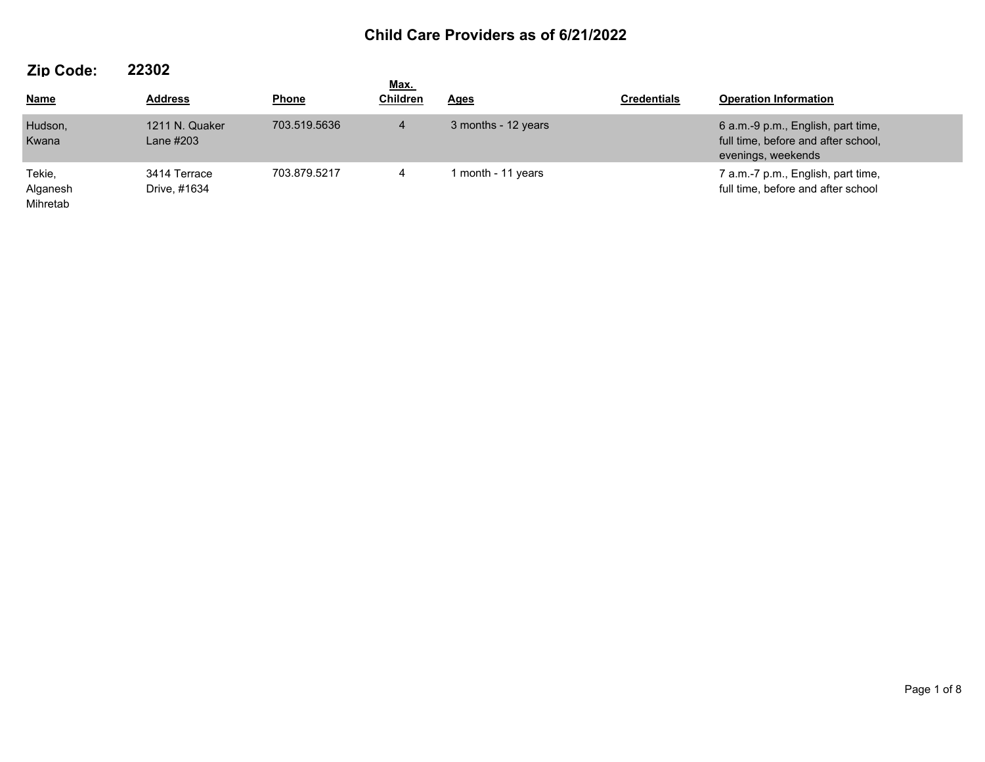| --- ----                       |                              |              | <u>Max.</u>     |                     |                    |                                                                                                 |  |
|--------------------------------|------------------------------|--------------|-----------------|---------------------|--------------------|-------------------------------------------------------------------------------------------------|--|
| <b>Name</b>                    | <b>Address</b>               | <b>Phone</b> | <b>Children</b> | <u>Ages</u>         | <b>Credentials</b> | <b>Operation Information</b>                                                                    |  |
| Hudson,<br>Kwana               | 1211 N. Quaker<br>Lane #203  | 703.519.5636 | $\overline{4}$  | 3 months - 12 years |                    | 6 a.m.-9 p.m., English, part time,<br>full time, before and after school,<br>evenings, weekends |  |
| Tekie,<br>Alganesh<br>Mihretab | 3414 Terrace<br>Drive, #1634 | 703.879.5217 | 4               | I month - 11 years  |                    | 7 a.m.-7 p.m., English, part time,<br>full time, before and after school                        |  |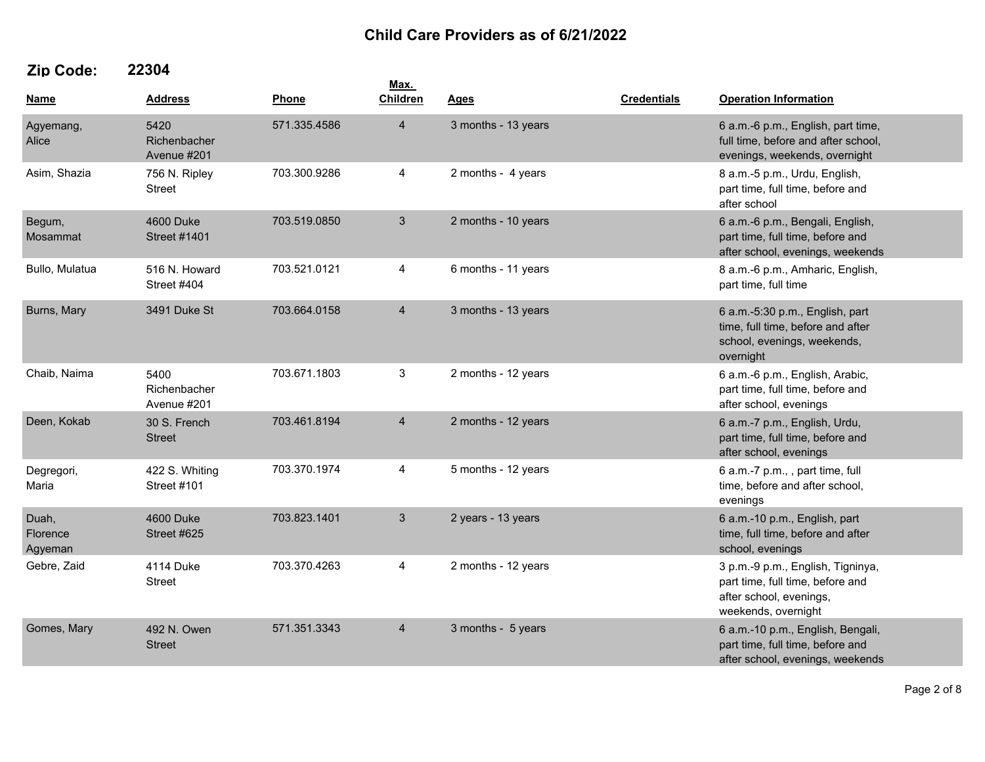|                              |                                     |              | Max.           |                     |                    |                                                                                                                         |  |
|------------------------------|-------------------------------------|--------------|----------------|---------------------|--------------------|-------------------------------------------------------------------------------------------------------------------------|--|
| <u>Name</u>                  | <b>Address</b>                      | Phone        | Children       | <u>Ages</u>         | <b>Credentials</b> | <b>Operation Information</b>                                                                                            |  |
| Agyemang,<br>Alice           | 5420<br>Richenbacher<br>Avenue #201 | 571.335.4586 | $\overline{4}$ | 3 months - 13 years |                    | 6 a.m.-6 p.m., English, part time,<br>full time, before and after school,<br>evenings, weekends, overnight              |  |
| Asim, Shazia                 | 756 N. Ripley<br><b>Street</b>      | 703.300.9286 | 4              | 2 months - 4 years  |                    | 8 a.m.-5 p.m., Urdu, English,<br>part time, full time, before and<br>after school                                       |  |
| Begum,<br>Mosammat           | 4600 Duke<br><b>Street #1401</b>    | 703.519.0850 | 3              | 2 months - 10 years |                    | 6 a.m.-6 p.m., Bengali, English,<br>part time, full time, before and<br>after school, evenings, weekends                |  |
| Bullo, Mulatua               | 516 N. Howard<br>Street #404        | 703.521.0121 | 4              | 6 months - 11 years |                    | 8 a.m.-6 p.m., Amharic, English,<br>part time, full time                                                                |  |
| Burns, Mary                  | 3491 Duke St                        | 703.664.0158 | $\overline{4}$ | 3 months - 13 years |                    | 6 a.m.-5:30 p.m., English, part<br>time, full time, before and after<br>school, evenings, weekends,<br>overnight        |  |
| Chaib, Naima                 | 5400<br>Richenbacher<br>Avenue #201 | 703.671.1803 | 3              | 2 months - 12 years |                    | 6 a.m.-6 p.m., English, Arabic,<br>part time, full time, before and<br>after school, evenings                           |  |
| Deen, Kokab                  | 30 S. French<br><b>Street</b>       | 703.461.8194 | $\overline{4}$ | 2 months - 12 years |                    | 6 a.m.-7 p.m., English, Urdu,<br>part time, full time, before and<br>after school, evenings                             |  |
| Degregori,<br>Maria          | 422 S. Whiting<br>Street #101       | 703.370.1974 | 4              | 5 months - 12 years |                    | 6 a.m.-7 p.m., , part time, full<br>time, before and after school,<br>evenings                                          |  |
| Duah,<br>Florence<br>Agyeman | <b>4600 Duke</b><br>Street #625     | 703.823.1401 | 3              | 2 years - 13 years  |                    | 6 a.m.-10 p.m., English, part<br>time, full time, before and after<br>school, evenings                                  |  |
| Gebre, Zaid                  | 4114 Duke<br><b>Street</b>          | 703.370.4263 | 4              | 2 months - 12 years |                    | 3 p.m.-9 p.m., English, Tigninya,<br>part time, full time, before and<br>after school, evenings,<br>weekends, overnight |  |
| Gomes, Mary                  | 492 N. Owen<br><b>Street</b>        | 571.351.3343 | $\overline{4}$ | 3 months - 5 years  |                    | 6 a.m.-10 p.m., English, Bengali,<br>part time, full time, before and<br>after school, evenings, weekends               |  |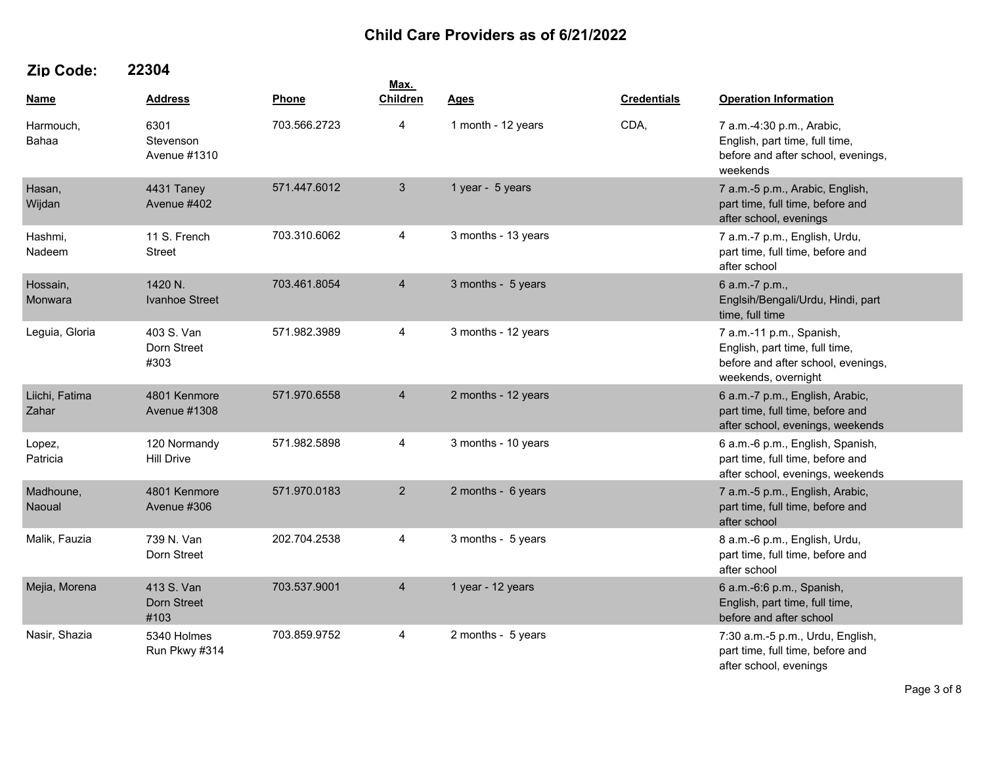|                         |                                     |              | Max.            |                     |                    |                                                                                                                         |  |
|-------------------------|-------------------------------------|--------------|-----------------|---------------------|--------------------|-------------------------------------------------------------------------------------------------------------------------|--|
| Name                    | <b>Address</b>                      | Phone        | <b>Children</b> | <b>Ages</b>         | <b>Credentials</b> | <b>Operation Information</b>                                                                                            |  |
| Harmouch,<br>Bahaa      | 6301<br>Stevenson<br>Avenue #1310   | 703.566.2723 | 4               | 1 month - 12 years  | CDA,               | 7 a.m.-4:30 p.m., Arabic,<br>English, part time, full time,<br>before and after school, evenings,<br>weekends           |  |
| Hasan,<br>Wijdan        | 4431 Taney<br>Avenue #402           | 571.447.6012 | $\mathbf{3}$    | 1 year - 5 years    |                    | 7 a.m.-5 p.m., Arabic, English,<br>part time, full time, before and<br>after school, evenings                           |  |
| Hashmi,<br>Nadeem       | 11 S. French<br>Street              | 703.310.6062 | 4               | 3 months - 13 years |                    | 7 a.m.-7 p.m., English, Urdu,<br>part time, full time, before and<br>after school                                       |  |
| Hossain,<br>Monwara     | 1420 N.<br>Ivanhoe Street           | 703.461.8054 | $\overline{4}$  | 3 months - 5 years  |                    | 6 a.m.-7 p.m.,<br>Englsih/Bengali/Urdu, Hindi, part<br>time, full time                                                  |  |
| Leguia, Gloria          | 403 S. Van<br>Dorn Street<br>#303   | 571.982.3989 | 4               | 3 months - 12 years |                    | 7 a.m.-11 p.m., Spanish,<br>English, part time, full time,<br>before and after school, evenings,<br>weekends, overnight |  |
| Liichi, Fatima<br>Zahar | 4801 Kenmore<br><b>Avenue #1308</b> | 571.970.6558 | $\overline{4}$  | 2 months - 12 years |                    | 6 a.m.-7 p.m., English, Arabic,<br>part time, full time, before and<br>after school, evenings, weekends                 |  |
| Lopez,<br>Patricia      | 120 Normandy<br><b>Hill Drive</b>   | 571.982.5898 | 4               | 3 months - 10 years |                    | 6 a.m.-6 p.m., English, Spanish,<br>part time, full time, before and<br>after school, evenings, weekends                |  |
| Madhoune,<br>Naoual     | 4801 Kenmore<br>Avenue #306         | 571.970.0183 | $\overline{2}$  | 2 months - 6 years  |                    | 7 a.m.-5 p.m., English, Arabic,<br>part time, full time, before and<br>after school                                     |  |
| Malik, Fauzia           | 739 N. Van<br>Dorn Street           | 202.704.2538 | 4               | 3 months - 5 years  |                    | 8 a.m.-6 p.m., English, Urdu,<br>part time, full time, before and<br>after school                                       |  |
| Mejia, Morena           | 413 S. Van<br>Dorn Street<br>#103   | 703.537.9001 | $\overline{4}$  | 1 year - 12 years   |                    | 6 a.m.-6:6 p.m., Spanish,<br>English, part time, full time,<br>before and after school                                  |  |
| Nasir, Shazia           | 5340 Holmes<br>Run Pkwy #314        | 703.859.9752 | 4               | 2 months - 5 years  |                    | 7:30 a.m.-5 p.m., Urdu, English,<br>part time, full time, before and<br>after school, evenings                          |  |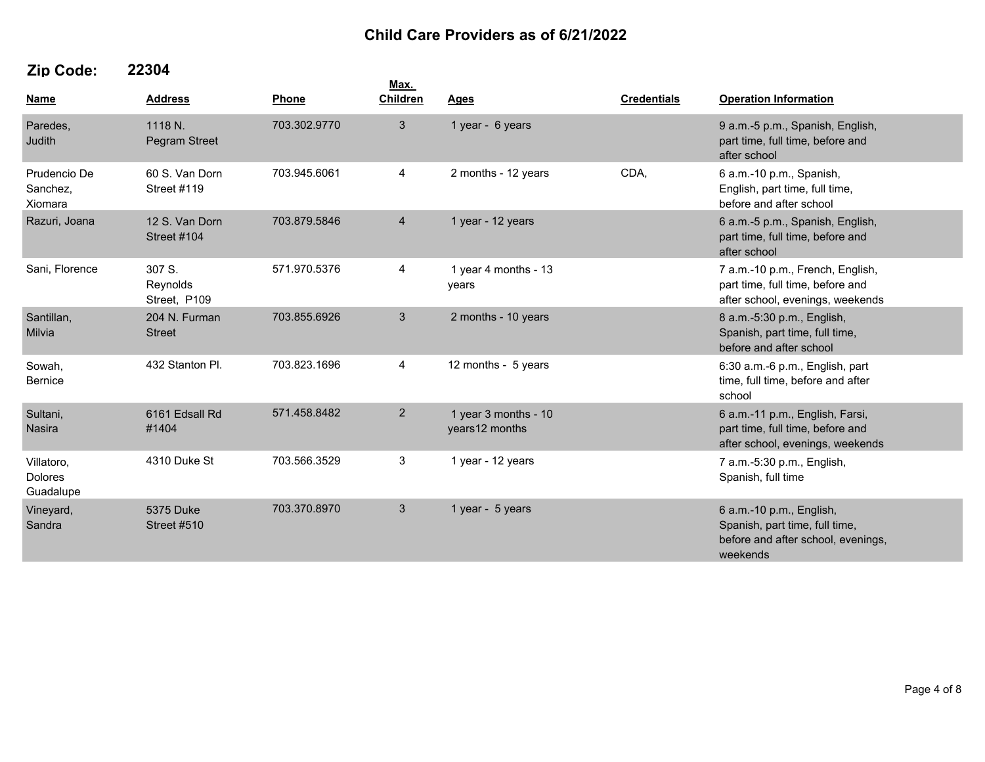| <b>Name</b>                               | <b>Address</b>                       | Phone        | Max.<br><b>Children</b> | <b>Ages</b>                            | <b>Credentials</b> | <b>Operation Information</b>                                                                                 |
|-------------------------------------------|--------------------------------------|--------------|-------------------------|----------------------------------------|--------------------|--------------------------------------------------------------------------------------------------------------|
| Paredes,<br>Judith                        | 1118 N.<br>Pegram Street             | 703.302.9770 | $\mathbf{3}$            | 1 year - 6 years                       |                    | 9 a.m.-5 p.m., Spanish, English,<br>part time, full time, before and<br>after school                         |
| Prudencio De<br>Sanchez,<br>Xiomara       | 60 S. Van Dorn<br><b>Street #119</b> | 703.945.6061 | 4                       | 2 months - 12 years                    | CDA,               | 6 a.m.-10 p.m., Spanish,<br>English, part time, full time,<br>before and after school                        |
| Razuri, Joana                             | 12 S. Van Dorn<br>Street #104        | 703.879.5846 | $\overline{4}$          | 1 year - 12 years                      |                    | 6 a.m.-5 p.m., Spanish, English,<br>part time, full time, before and<br>after school                         |
| Sani, Florence                            | 307 S.<br>Reynolds<br>Street, P109   | 571.970.5376 | 4                       | 1 year 4 months - 13<br>years          |                    | 7 a.m.-10 p.m., French, English,<br>part time, full time, before and<br>after school, evenings, weekends     |
| Santillan,<br>Milvia                      | 204 N. Furman<br><b>Street</b>       | 703.855.6926 | $\mathfrak{Z}$          | 2 months - 10 years                    |                    | 8 a.m.-5:30 p.m., English,<br>Spanish, part time, full time,<br>before and after school                      |
| Sowah,<br><b>Bernice</b>                  | 432 Stanton Pl.                      | 703.823.1696 | 4                       | 12 months - 5 years                    |                    | 6:30 a.m.-6 p.m., English, part<br>time, full time, before and after<br>school                               |
| Sultani,<br>Nasira                        | 6161 Edsall Rd<br>#1404              | 571.458.8482 | $\overline{2}$          | 1 year 3 months - 10<br>years12 months |                    | 6 a.m.-11 p.m., English, Farsi,<br>part time, full time, before and<br>after school, evenings, weekends      |
| Villatoro,<br><b>Dolores</b><br>Guadalupe | 4310 Duke St                         | 703.566.3529 | 3                       | 1 year - 12 years                      |                    | 7 a.m.-5:30 p.m., English,<br>Spanish, full time                                                             |
| Vineyard,<br>Sandra                       | 5375 Duke<br><b>Street #510</b>      | 703.370.8970 | $\mathbf{3}$            | 1 year - 5 years                       |                    | 6 a.m.-10 p.m., English,<br>Spanish, part time, full time,<br>before and after school, evenings,<br>weekends |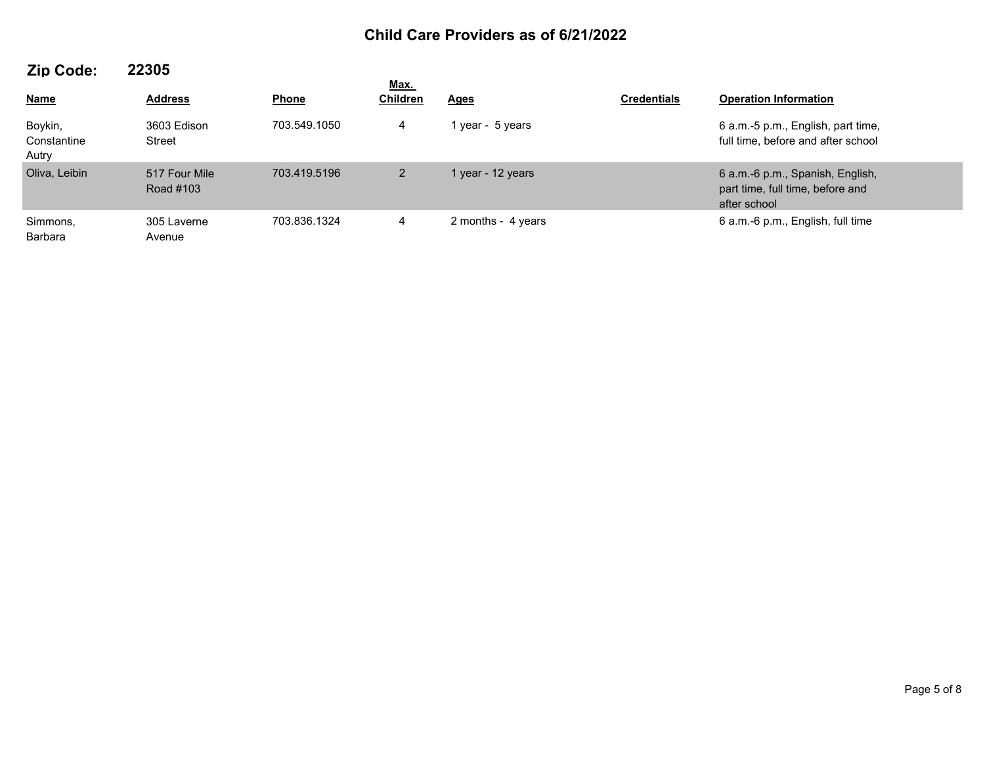| 60 V V V V I                    |                            |              | Max.            |                    |                    |                                                                                      |  |
|---------------------------------|----------------------------|--------------|-----------------|--------------------|--------------------|--------------------------------------------------------------------------------------|--|
| <b>Name</b>                     | <b>Address</b>             | <b>Phone</b> | <b>Children</b> | <b>Ages</b>        | <b>Credentials</b> | <b>Operation Information</b>                                                         |  |
| Boykin,<br>Constantine<br>Autry | 3603 Edison<br>Street      | 703.549.1050 | 4               | 1 year - 5 years   |                    | 6 a.m.-5 p.m., English, part time,<br>full time, before and after school             |  |
| Oliva, Leibin                   | 517 Four Mile<br>Road #103 | 703.419.5196 | $\overline{2}$  | 1 year - 12 years  |                    | 6 a.m.-6 p.m., Spanish, English,<br>part time, full time, before and<br>after school |  |
| Simmons,<br>Barbara             | 305 Laverne<br>Avenue      | 703.836.1324 | 4               | 2 months - 4 years |                    | 6 a.m.-6 p.m., English, full time                                                    |  |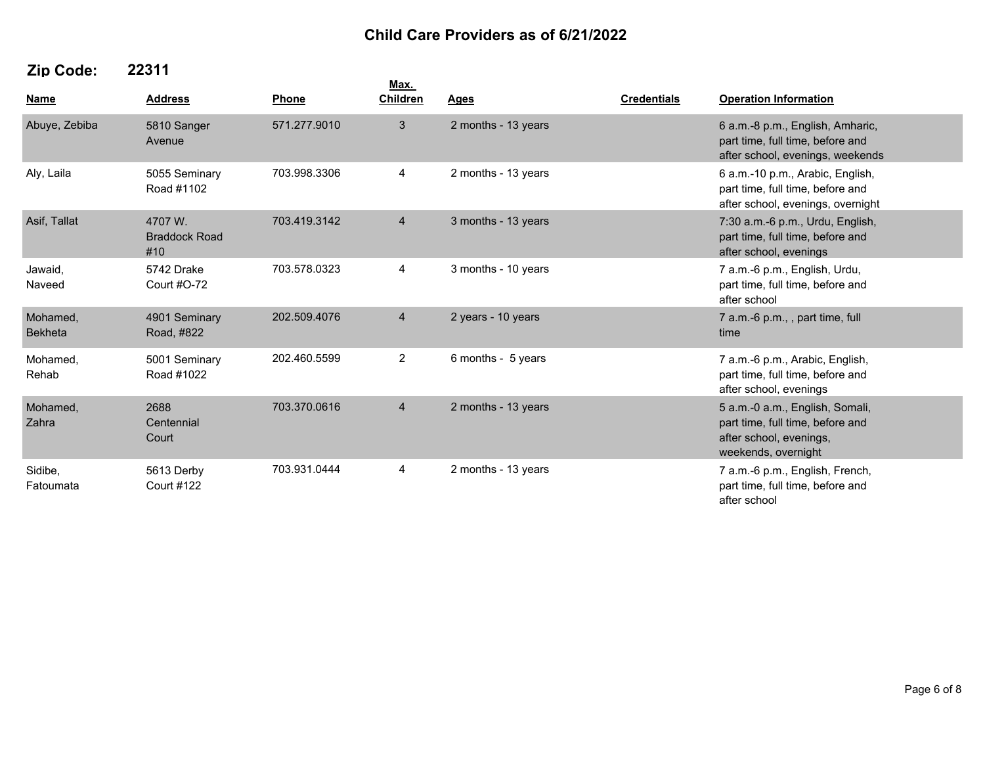|                            |                                        |              | Max.            |                     |                    |                                                                                                                       |  |
|----------------------------|----------------------------------------|--------------|-----------------|---------------------|--------------------|-----------------------------------------------------------------------------------------------------------------------|--|
| <b>Name</b>                | <b>Address</b>                         | Phone        | <b>Children</b> | <b>Ages</b>         | <b>Credentials</b> | <b>Operation Information</b>                                                                                          |  |
| Abuye, Zebiba              | 5810 Sanger<br>Avenue                  | 571.277.9010 | 3               | 2 months - 13 years |                    | 6 a.m.-8 p.m., English, Amharic,<br>part time, full time, before and<br>after school, evenings, weekends              |  |
| Aly, Laila                 | 5055 Seminary<br>Road #1102            | 703.998.3306 | 4               | 2 months - 13 years |                    | 6 a.m.-10 p.m., Arabic, English,<br>part time, full time, before and<br>after school, evenings, overnight             |  |
| Asif, Tallat               | 4707 W.<br><b>Braddock Road</b><br>#10 | 703.419.3142 | $\overline{4}$  | 3 months - 13 years |                    | 7:30 a.m.-6 p.m., Urdu, English,<br>part time, full time, before and<br>after school, evenings                        |  |
| Jawaid,<br>Naveed          | 5742 Drake<br>Court #O-72              | 703.578.0323 | 4               | 3 months - 10 years |                    | 7 a.m.-6 p.m., English, Urdu,<br>part time, full time, before and<br>after school                                     |  |
| Mohamed,<br><b>Bekheta</b> | 4901 Seminary<br>Road, #822            | 202.509.4076 | $\overline{4}$  | 2 years - 10 years  |                    | 7 a.m.-6 p.m., , part time, full<br>time                                                                              |  |
| Mohamed,<br>Rehab          | 5001 Seminary<br>Road #1022            | 202.460.5599 | $\overline{2}$  | 6 months - 5 years  |                    | 7 a.m.-6 p.m., Arabic, English,<br>part time, full time, before and<br>after school, evenings                         |  |
| Mohamed,<br>Zahra          | 2688<br>Centennial<br>Court            | 703.370.0616 | $\overline{4}$  | 2 months - 13 years |                    | 5 a.m.-0 a.m., English, Somali,<br>part time, full time, before and<br>after school, evenings,<br>weekends, overnight |  |
| Sidibe,<br>Fatoumata       | 5613 Derby<br><b>Court #122</b>        | 703.931.0444 | 4               | 2 months - 13 years |                    | 7 a.m.-6 p.m., English, French,<br>part time, full time, before and<br>after school                                   |  |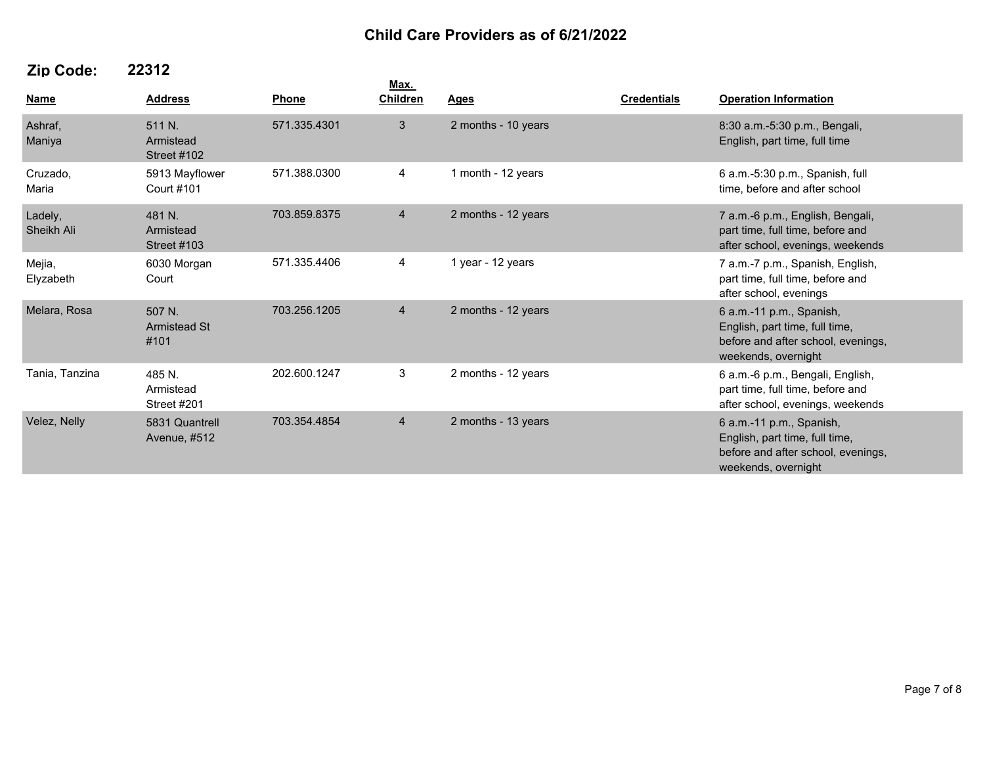|                       |                                           |              | Max.            |                     |                    |                                                                                                                         |
|-----------------------|-------------------------------------------|--------------|-----------------|---------------------|--------------------|-------------------------------------------------------------------------------------------------------------------------|
| Name                  | <b>Address</b>                            | Phone        | <b>Children</b> | <b>Ages</b>         | <b>Credentials</b> | <b>Operation Information</b>                                                                                            |
| Ashraf,<br>Maniya     | 511 N.<br>Armistead<br>Street #102        | 571.335.4301 | 3 <sup>5</sup>  | 2 months - 10 years |                    | 8:30 a.m.-5:30 p.m., Bengali,<br>English, part time, full time                                                          |
| Cruzado,<br>Maria     | 5913 Mayflower<br>Court #101              | 571.388.0300 | 4               | 1 month - 12 years  |                    | 6 a.m.-5:30 p.m., Spanish, full<br>time, before and after school                                                        |
| Ladely,<br>Sheikh Ali | 481 N.<br>Armistead<br><b>Street #103</b> | 703.859.8375 | $\overline{4}$  | 2 months - 12 years |                    | 7 a.m.-6 p.m., English, Bengali,<br>part time, full time, before and<br>after school, evenings, weekends                |
| Mejia,<br>Elyzabeth   | 6030 Morgan<br>Court                      | 571.335.4406 | 4               | 1 year - 12 years   |                    | 7 a.m.-7 p.m., Spanish, English,<br>part time, full time, before and<br>after school, evenings                          |
| Melara, Rosa          | 507 N.<br><b>Armistead St</b><br>#101     | 703.256.1205 | $\overline{4}$  | 2 months - 12 years |                    | 6 a.m.-11 p.m., Spanish,<br>English, part time, full time,<br>before and after school, evenings,<br>weekends, overnight |
| Tania, Tanzina        | 485 N.<br>Armistead<br>Street #201        | 202.600.1247 | 3               | 2 months - 12 years |                    | 6 a.m.-6 p.m., Bengali, English,<br>part time, full time, before and<br>after school, evenings, weekends                |
| Velez, Nelly          | 5831 Quantrell<br>Avenue, #512            | 703.354.4854 | $\overline{4}$  | 2 months - 13 years |                    | 6 a.m.-11 p.m., Spanish,<br>English, part time, full time,<br>before and after school, evenings,<br>weekends, overnight |